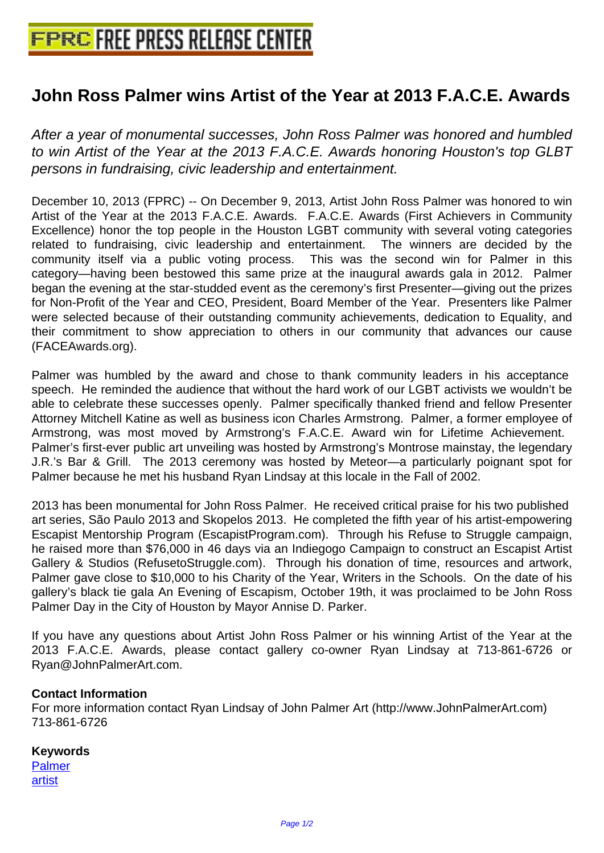## **[John Ross Palmer wins Artist of th](http://www.free-press-release-center.info)e Year at 2013 F.A.C.E. Awards**

After a year of monumental successes, John Ross Palmer was honored and humbled to win Artist of the Year at the 2013 F.A.C.E. Awards honoring Houston's top GLBT persons in fundraising, civic leadership and entertainment.

December 10, 2013 (FPRC) -- On December 9, 2013, Artist John Ross Palmer was honored to win Artist of the Year at the 2013 F.A.C.E. Awards. F.A.C.E. Awards (First Achievers in Community Excellence) honor the top people in the Houston LGBT community with several voting categories related to fundraising, civic leadership and entertainment. The winners are decided by the community itself via a public voting process. This was the second win for Palmer in this category—having been bestowed this same prize at the inaugural awards gala in 2012. Palmer began the evening at the star-studded event as the ceremony's first Presenter—giving out the prizes for Non-Profit of the Year and CEO, President, Board Member of the Year. Presenters like Palmer were selected because of their outstanding community achievements, dedication to Equality, and their commitment to show appreciation to others in our community that advances our cause (FACEAwards.org).

 Palmer was humbled by the award and chose to thank community leaders in his acceptance speech. He reminded the audience that without the hard work of our LGBT activists we wouldn't be able to celebrate these successes openly. Palmer specifically thanked friend and fellow Presenter Attorney Mitchell Katine as well as business icon Charles Armstrong. Palmer, a former employee of Armstrong, was most moved by Armstrong's F.A.C.E. Award win for Lifetime Achievement. Palmer's first-ever public art unveiling was hosted by Armstrong's Montrose mainstay, the legendary J.R.'s Bar & Grill. The 2013 ceremony was hosted by Meteor—a particularly poignant spot for Palmer because he met his husband Ryan Lindsay at this locale in the Fall of 2002.

 2013 has been monumental for John Ross Palmer. He received critical praise for his two published art series, São Paulo 2013 and Skopelos 2013. He completed the fifth year of his artist-empowering Escapist Mentorship Program (EscapistProgram.com). Through his Refuse to Struggle campaign, he raised more than \$76,000 in 46 days via an Indiegogo Campaign to construct an Escapist Artist Gallery & Studios (RefusetoStruggle.com). Through his donation of time, resources and artwork, Palmer gave close to \$10,000 to his Charity of the Year, Writers in the Schools. On the date of his gallery's black tie gala An Evening of Escapism, October 19th, it was proclaimed to be John Ross Palmer Day in the City of Houston by Mayor Annise D. Parker.

If you have any questions about Artist John Ross Palmer or his winning Artist of the Year at the 2013 F.A.C.E. Awards, please contact gallery co-owner Ryan Lindsay at 713-861-6726 or Ryan@JohnPalmerArt.com.

## **Contact Information**

For more information contact Ryan Lindsay of John Palmer Art (http://www.JohnPalmerArt.com) 713-861-6726

## **Keywords**

Palmer artist